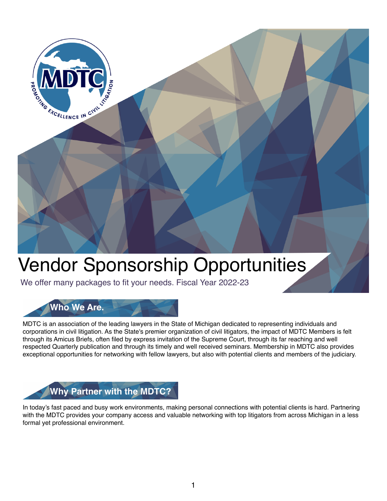

# Vendor Sponsorship Opportunities

We offer many packages to fit your needs. Fiscal Year 2022-23



MDTC is an association of the leading lawyers in the State of Michigan dedicated to representing individuals and corporations in civil litigation. As the State's premier organization of civil litigators, the impact of MDTC Members is felt through its Amicus Briefs, often filed by express invitation of the Supreme Court, through its far reaching and well respected Quarterly publication and through its timely and well received seminars. Membership in MDTC also provides exceptional opportunities for networking with fellow lawyers, but also with potential clients and members of the judiciary.

# **Why Partner with the MDTC?**

In today's fast paced and busy work environments, making personal connections with potential clients is hard. Partnering with the MDTC provides your company access and valuable networking with top litigators from across Michigan in a less formal yet professional environment.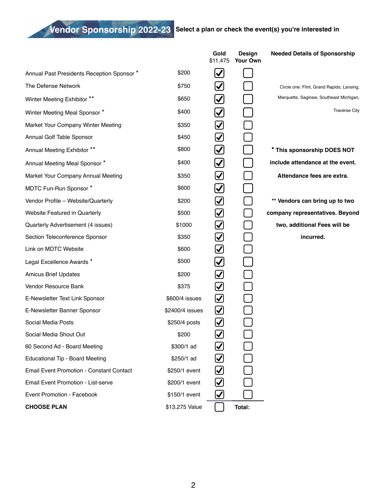**Vendor Sponsorship 2022-23 Select a plan or check the event(s) you're interested in**

|                                                 |                 | Gold<br>\$11,475      | Design<br>Your Own | <b>Needed Details of Sponsorship</b>      |
|-------------------------------------------------|-----------------|-----------------------|--------------------|-------------------------------------------|
| Annual Past Presidents Reception Sponsor *      | \$200           | $\blacktriangledown$  |                    |                                           |
| The Defense Network                             | \$750           | $\blacktriangledown$  |                    | Circle one: Flint, Grand Rapids, Lansing, |
| Winter Meeting Exhibitor **                     | \$650           | $\blacktriangleright$ |                    | Marquette, Saginaw, Southeast Michigan,   |
| Winter Meeting Meal Sponsor *                   | \$400           | $\blacktriangleright$ |                    | <b>Traverse City</b>                      |
| Market Your Company Winter Meeting              | \$350           | $\bm{\omega}$         |                    |                                           |
| Annual Golf Table Sponsor                       | \$450           | ☑                     |                    |                                           |
| Annual Meeting Exhibitor **                     | \$800           | $\blacktriangledown$  |                    | * This sponsorship DOES NOT               |
| Annual Meeting Meal Sponsor *                   | \$400           | $\blacktriangledown$  |                    | include attendance at the event.          |
| Market Your Company Annual Meeting              | \$350           | $\bm{\omega}$         |                    | Attendance fees are extra.                |
| MDTC Fun-Run Sponsor *                          | \$600           | $\blacktriangleright$ |                    |                                           |
| Vendor Profile - Website/Quarterly              | \$200           | $\bm{\omega}$         |                    | ** Vendors can bring up to two            |
| <b>Website Featured in Quarterly</b>            | \$500           | $\bm{\omega}$         |                    | company representatives. Beyond           |
| Quarterly Advertisement (4 issues)              | \$1000          | $\bm{\vee}$           |                    | two, additional Fees will be              |
| Section Teleconference Sponsor                  | \$350           | $\bm{\omega}$         |                    | incurred.                                 |
| Link on MDTC Website                            | \$600           | $\bm{\omega}$         |                    |                                           |
| Legal Excellence Awards *                       | \$500           | $\blacktriangleright$ |                    |                                           |
| <b>Amicus Brief Updates</b>                     | \$200           | $\bm{\omega}$         |                    |                                           |
| Vendor Resource Bank                            | \$375           | $\bm{\omega}$         |                    |                                           |
| E-Newsletter Text Link Sponsor                  | \$600/4 issues  | $\bm{\omega}$         |                    |                                           |
| E-Newsletter Banner Sponsor                     | \$2400/4 issues | $\bm{\mathcal{C}}$    |                    |                                           |
| Social Media Posts                              | \$250/4 posts   | $\bm{\mathcal{U}}$    |                    |                                           |
| Social Media Shout Out                          | \$200           | $\bm{\boxtimes}$      |                    |                                           |
| 60 Second Ad - Board Meeting                    | \$300/1 ad      |                       |                    |                                           |
| <b>Educational Tip - Board Meeting</b>          | \$250/1 ad      | $\blacktriangledown$  |                    |                                           |
| <b>Email Event Promotion - Constant Contact</b> | \$250/1 event   | $\bm{\bm{\vee}}$      |                    |                                           |
| Email Event Promotion - List-serve              | \$200/1 event   | $\blacktriangledown$  |                    |                                           |
| Event Promotion - Facebook                      | \$150/1 event   | $\boldsymbol{\vee}$   |                    |                                           |
| <b>CHOOSE PLAN</b>                              | \$13,275 Value  |                       | Total:             |                                           |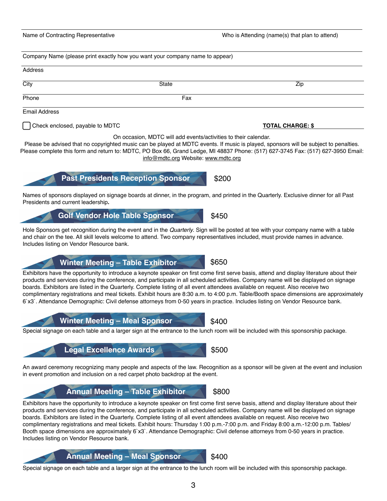Special signage on each table and a larger sign at the entrance to the lunch room will be included with this sponsorship package.

Address

Phone **Fax** Email Address

City State Zip

Check enclosed, payable to MDTC **TOTAL CHARGE: \$**

On occasion, MDTC will add events/activities to their calendar.

Please be advised that no copyrighted music can be played at MDTC events. If music is played, sponsors will be subject to penalties. Please complete this form and return to: MDTC, PO Box 66, Grand Ledge, MI 48837 Phone: (517) 627-3745 Fax: (517) 627-3950 Email: [info@mdtc.org](mailto:info@mdtc.org) Website: [www.mdtc.org](http://www.mdtc.org)

Names of sponsors displayed on signage boards at dinner, in the program, and printed in the Quarterly. Exclusive dinner for all Past Presidents and current leadership**.**

# Hole Sponsors get recognition during the event and in the *Quarterly*. Sign will be posted at tee with your company name with a table

and chair on the tee. All skill levels welcome to attend. Two company representatives included, must provide names in advance. Includes listing on Vendor Resource bank.

#### Exhibitors have the opportunity to introduce a keynote speaker on first come first serve basis, attend and display literature about their products and services during the conference, and participate in all scheduled activities. Company name will be displayed on signage boards. Exhibitors are listed in the Quarterly. Complete listing of all event attendees available on request. Also receive two complimentary registrations and meal tickets. Exhibit hours are 8:30 a.m. to 4:00 p.m. Table/Booth space dimensions are approximately 6`x3`. Attendance Demographic: Civil defense attorneys from 0-50 years in practice. Includes listing on Vendor Resource bank.

**Novimber Meeting – Meal Sponsor** \$400 Special signage on each table and a larger sign at the entrance to the lunch room will be included with this sponsorship package.

An award ceremony recognizing many people and aspects of the law. Recognition as a sponsor will be given at the event and inclusion in event promotion and inclusion on a red carpet photo backdrop at the event.

### Exhibitors have the opportunity to introduce a keynote speaker on first come first serve basis, attend and display literature about their products and services during the conference, and participate in all scheduled activities. Company name will be displayed on signage boards. Exhibitors are listed in the Quarterly. Complete listing of all event attendees available on request. Also receive two complimentary registrations and meal tickets. Exhibit hours: Thursday 1:00 p.m.-7:00 p.m. and Friday 8:00 a.m.-12:00 p.m. Tables/ Booth space dimensions are approximately 6`x3`. Attendance Demographic: Civil defense attorneys from 0-50 years in practice.

**Annual Meeting – Meal Sponsor \$400** 

**Annual Meeting – Table Exhibitor**

**Legal Excellence Awards**

Includes listing on Vendor Resource bank.



**Winter Meeting – Table Exhibitor**

**Past Presidents Reception Sponsor \$200** 

Golf Vendor Hole Table Sponsor **\$450** 

Company Name (please print exactly how you want your company name to appear)

\$650

\$500

\$800

Name of Contracting Representative Who is Attending (name(s) that plan to attend)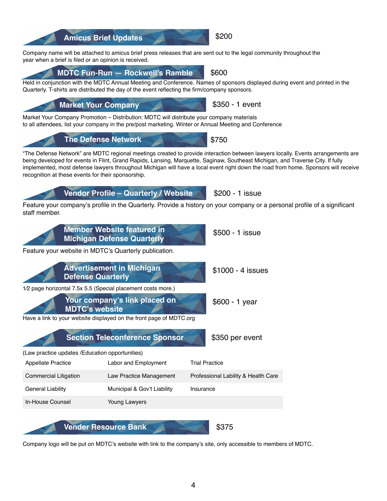4

Company name will be attached to amicus brief press releases that are sent out to the legal community throughout the year when a brief is filed or an opinion is received.

# **MDTC Fun-Run — Rockwell's Ramble** \$600

Held in conjunction with the MDTC Annual Meeting and Conference. Names of sponsors displayed during event and printed in the Quarterly. T-shirts are distributed the day of the event reflecting the firm/company sponsors.

Market Your Company Promotion – Distribution: MDTC will distribute your company materials to all attendees, list your company in the pre/post marketing. Winter or Annual Meeting and Conference

"The Defense Network" are MDTC regional meetings created to provide interaction between lawyers locally. Events arrangements are being developed for events in Flint, Grand Rapids, Lansing, Marquette, Saginaw, Southeast Michigan, and Traverse City. If fully implemented, most defense lawyers throughout Michigan will have a local event right down the road from home. Sponsors will receive recognition at these events for their sponsorship.

Feature your company's profile in the Quarterly. Provide a history on your company or a personal profile of a significant staff member.

| Your company's link placed on<br><b>MDTC's website</b><br>Have a link to your website displayed on the front page of MDTC.org | $$600 - 1$ year                       |                                     |  |  |  |  |
|-------------------------------------------------------------------------------------------------------------------------------|---------------------------------------|-------------------------------------|--|--|--|--|
|                                                                                                                               | <b>Section Teleconference Sponsor</b> | \$350 per event                     |  |  |  |  |
| (Law practice updates / Education opportunities)                                                                              |                                       |                                     |  |  |  |  |
| Appellate Practice                                                                                                            | Labor and Employment                  | <b>Trial Practice</b>               |  |  |  |  |
| Commercial Litigation                                                                                                         | Law Practice Management               | Professional Lability & Health Care |  |  |  |  |
| General Liability                                                                                                             | Municipal & Gov't Liability           | Insurance                           |  |  |  |  |
| In-House Counsel                                                                                                              | Young Lawyers                         |                                     |  |  |  |  |
|                                                                                                                               | <b>Vender Resource Bank</b>           |                                     |  |  |  |  |

Company logo will be put on MDTC's website with link to the company's site, only accessible to members of MDTC.



**Vendor Profile – Quarterly / Website**

Feature your website in MDTC's Quarterly publication.

**The Defense Network**

**Member Website featured in Michigan Defense Quarterly**

**Advertisement in Michigan** 

1⁄2 page horizontal 7.5x 5.5 (Special placement costs more.)

**Defense Quarterly**





\$200 - 1 issue

\$1000 - 4 issues

\$500 - 1 issue

\$200

\$750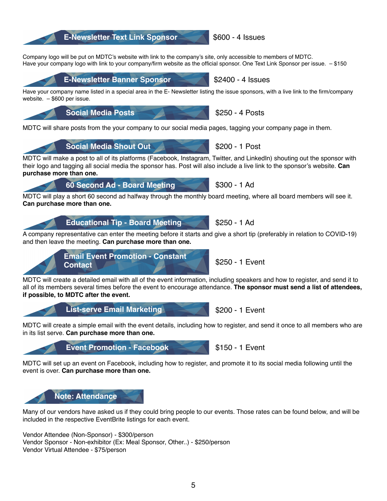## **E-Newsletter Text Link Sponsor 5600 - 4 Issues**

Company logo will be put on MDTC's website with link to the company's site, only accessible to members of MDTC. Have your company logo with link to your company/firm website as the official sponsor. One Text Link Sponsor per issue. - \$150

**E-Newsletter Banner Sponsor 52400 - 4 Issues** 

Have your company name listed in a special area in the E- Newsletter listing the issue sponsors, with a live link to the firm/company website. – \$600 per issue.

MDTC will share posts from the your company to our social media pages, tagging your company page in them.

**Social Media Posts \$250 - 4 Posts** 

**Social Media Shout Out** 2 **1 1 Second 1 Second 1 Post** 

**60 Second Ad - Board Meeting \$300 - 1 Ad** 

MDTC will make a post to all of its platforms (Facebook, Instagram, Twitter, and LinkedIn) shouting out the sponsor with their logo and tagging all social media the sponsor has. Post will also include a live link to the sponsor's website. **Can purchase more than one.**

MDTC will play a short 60 second ad halfway through the monthly board meeting, where all board members will see it. **Can purchase more than one.**

A company representative can enter the meeting before it starts and give a short tip (preferably in relation to COVID-19) and then leave the meeting. **Can purchase more than one.**

MDTC will create a detailed email with all of the event information, including speakers and how to register, and send it to all of its members several times before the event to encourage attendance. **The sponsor must send a list of attendees, if possible, to MDTC after the event.**

MDTC will create a simple email with the event details, including how to register, and send it once to all members who are in its list serve. **Can purchase more than one.**

MDTC will set up an event on Facebook, including how to register, and promote it to its social media following until the event is over. **Can purchase more than one.**

Many of our vendors have asked us if they could bring people to our events. Those rates can be found below, and will be included in the respective EventBrite listings for each event.

Vendor Attendee (Non-Sponsor) - \$300/person Vendor Sponsor - Non-exhibitor (Ex: Meal Sponsor, Other..) - \$250/person Vendor Virtual Attendee - \$75/person

# **Educational Tip - Board Meeting \$250 - 1 Ad**



**List-serve Email Marketing <b>\$200** - 1 Event

**Event Promotion - Facebook** \$150 - 1 Event

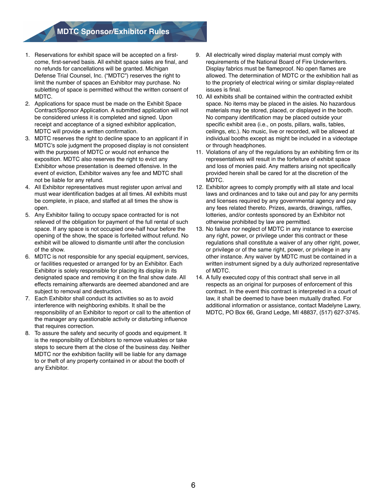## **MDTC Sponsor/Exhibitor Rules**

- 1. Reservations for exhibit space will be accepted on a firstcome, first-served basis. All exhibit space sales are final, and no refunds for cancellations will be granted. Michigan Defense Trial Counsel, Inc. ("MDTC") reserves the right to limit the number of spaces an Exhibitor may purchase. No subletting of space is permitted without the written consent of MDTC.
- 2. Applications for space must be made on the Exhibit Space Contract/Sponsor Application. A submitted application will not be considered unless it is completed and signed. Upon receipt and acceptance of a signed exhibitor application, MDTC will provide a written confirmation.
- 3. MDTC reserves the right to decline space to an applicant if in MDTC's sole judgment the proposed display is not consistent with the purposes of MDTC or would not enhance the exposition. MDTC also reserves the right to evict any Exhibitor whose presentation is deemed offensive. In the event of eviction, Exhibitor waives any fee and MDTC shall not be liable for any refund.
- 4. All Exhibitor representatives must register upon arrival and must wear identification badges at all times. All exhibits must be complete, in place, and staffed at all times the show is open.
- 5. Any Exhibitor failing to occupy space contracted for is not relieved of the obligation for payment of the full rental of such space. If any space is not occupied one-half hour before the opening of the show, the space is forfeited without refund. No exhibit will be allowed to dismantle until after the conclusion of the show.
- 6. MDTC is not responsible for any special equipment, services, or facilities requested or arranged for by an Exhibitor. Each Exhibitor is solely responsible for placing its display in its designated space and removing it on the final show date. All effects remaining afterwards are deemed abandoned and are subject to removal and destruction.
- 7. Each Exhibitor shall conduct its activities so as to avoid interference with neighboring exhibits. It shall be the responsibility of an Exhibitor to report or call to the attention of the manager any questionable activity or disturbing influence that requires correction.
- 8. To assure the safety and security of goods and equipment. It is the responsibility of Exhibitors to remove valuables or take steps to secure them at the close of the business day. Neither MDTC nor the exhibition facility will be liable for any damage to or theft of any property contained in or about the booth of any Exhibitor.
- 9. All electrically wired display material must comply with requirements of the National Board of Fire Underwriters. Display fabrics must be flameproof. No open flames are allowed. The determination of MDTC or the exhibition hall as to the propriety of electrical wiring or similar display-related issues is final.
- 10. All exhibits shall be contained within the contracted exhibit space. No items may be placed in the aisles. No hazardous materials may be stored, placed, or displayed in the booth. No company identification may be placed outside your specific exhibit area (i.e., on posts, pillars, walls, tables, ceilings, etc.). No music, live or recorded, will be allowed at individual booths except as might be included in a videotape or through headphones.
- 11. Violations of any of the regulations by an exhibiting firm or its representatives will result in the forfeiture of exhibit space and loss of monies paid. Any matters arising not specifically provided herein shall be cared for at the discretion of the MDTC.
- 12. Exhibitor agrees to comply promptly with all state and local laws and ordinances and to take out and pay for any permits and licenses required by any governmental agency and pay any fees related thereto. Prizes, awards, drawings, raffles, lotteries, and/or contests sponsored by an Exhibitor not otherwise prohibited by law are permitted.
- 13. No failure nor neglect of MDTC in any instance to exercise any right, power, or privilege under this contract or these regulations shall constitute a waiver of any other right, power, or privilege or of the same right, power, or privilege in any other instance. Any waiver by MDTC must be contained in a written instrument signed by a duly authorized representative of MDTC.
- 14. A fully executed copy of this contract shall serve in all respects as an original for purposes of enforcement of this contract. In the event this contract is interpreted in a court of law, it shall be deemed to have been mutually drafted. For additional information or assistance, contact Madelyne Lawry, MDTC, PO Box 66, Grand Ledge, MI 48837, (517) 627-3745.